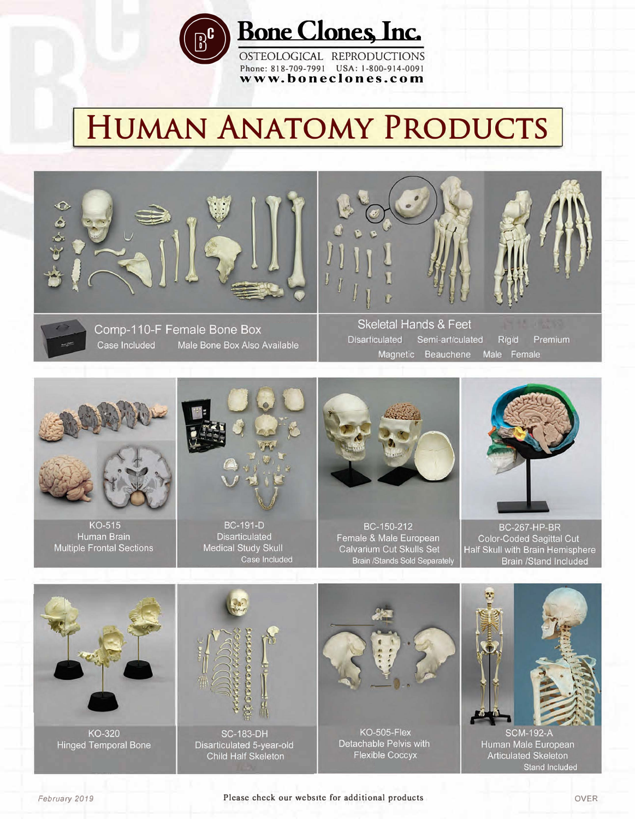

**•Bone Clones, Inc.**

OSTEOLOGICAL REPRODUCTIONS **Phone: 818-709-7991 USA: 1-800-914-0091 [www.boneclones.com](http://www.boneclones.com)** 

# **HUMAN ANATOMY PRODUCTS**



Comp-110-F Female Bone Box Case Included Male Bone Box Also Available





Skeletal Hands & Feet Disarticulated Semi-articulated Rigid Premium Magnetic Beauchene Male Female



**KO-515** Human Brain



Disarticulated



BC-150-212 Female & Male European



**BC-267-HP-BR** Color-Coded Sagittal Cut Multiple Frontal Sections Medical Study Skull Calvarium Cut Skulls Set Half Skull with Brain Hemisphere<br>Brain /Stands Sold Separately Brain /Stand Included Brain /Stand Included



KO-320 **Hinged Temporal Bone** 



**SC-183-DH** Disarticulated 5-year-old



KO-505-Flex Detachable Pelvis with



**SCM-192-A** Human Male European Crillo Hall Skeleton<br>
Principal Principal Principal Principal Principal Principal Principal Principal Principal Principal Principal<br>
Principal Principal Principal Principal Principal Principal Principal Principal Principal **Stand Included**